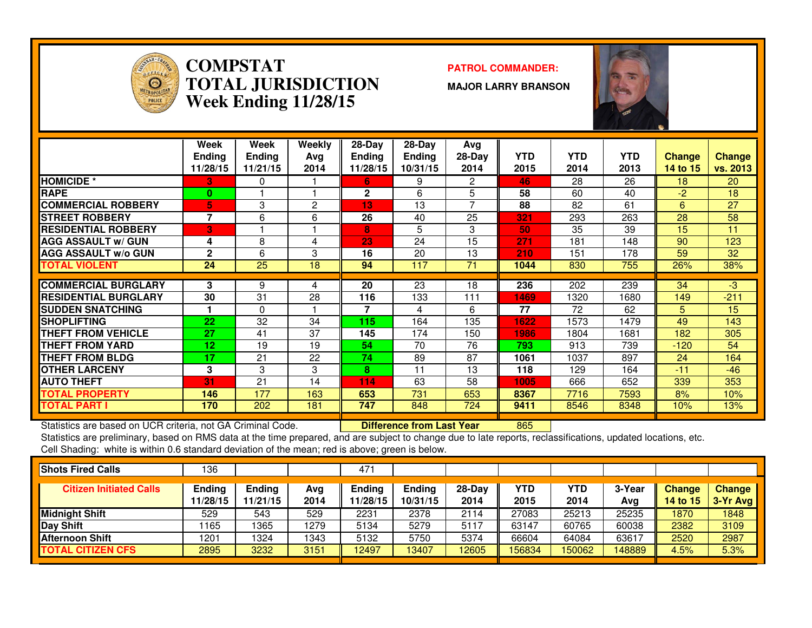

### **COMPSTATPATROL COMMANDER:**<br> **PATROL COMMANDER: TOTAL JURISDICTIONWeek Ending 11/28/15**

**MAJOR LARRY BRANSON**



|                              | Week<br><b>Ending</b><br>11/28/15 | Week<br>Ending<br>11/21/15 | Weekly<br>Avg<br>2014 | $28$ -Day<br>Ending<br>11/28/15 | $28-Day$<br><b>Ending</b><br>10/31/15 | Avg<br>$28-Day$<br>2014 | <b>YTD</b><br>2015 | <b>YTD</b><br>2014 | <b>YTD</b><br>2013 | <b>Change</b><br>14 to 15 | <b>Change</b><br>vs. 2013 |
|------------------------------|-----------------------------------|----------------------------|-----------------------|---------------------------------|---------------------------------------|-------------------------|--------------------|--------------------|--------------------|---------------------------|---------------------------|
| <b>HOMICIDE *</b>            | З.                                | 0                          |                       | 6.                              | 9                                     | 2                       | 46                 | 28                 | 26                 | 18                        | 20                        |
| <b>RAPE</b>                  | $\bf{0}$                          |                            |                       | $\mathbf{2}$                    | 6                                     | 5                       | 58                 | 60                 | 40                 | $-2$                      | 18                        |
| <b>COMMERCIAL ROBBERY</b>    | 5                                 | 3                          | 2                     | 13                              | 13                                    | $\overline{ }$          | 88                 | 82                 | 61                 | 6                         | 27                        |
| <b>STREET ROBBERY</b>        | $\overline{\phantom{a}}$          | 6                          | 6                     | 26                              | 40                                    | 25                      | 321                | 293                | 263                | 28                        | 58                        |
| <b>IRESIDENTIAL ROBBERY</b>  | 3                                 |                            |                       | 8                               | 5                                     | 3                       | 50                 | 35                 | 39                 | 15                        | 11                        |
| <b>AGG ASSAULT w/ GUN</b>    | 4                                 | 8                          | 4                     | 23                              | 24                                    | 15                      | 271                | 181                | 148                | 90                        | 123                       |
| <b>AGG ASSAULT w/o GUN</b>   | $\mathbf{2}$                      | 6                          | 3                     | 16                              | 20                                    | 13                      | 210                | 151                | 178                | 59                        | 32                        |
| <b>TOTAL VIOLENT</b>         | 24                                | 25                         | 18                    | 94                              | 117                                   | 71                      | 1044               | 830                | 755                | 26%                       | 38%                       |
|                              |                                   |                            |                       |                                 |                                       |                         |                    |                    |                    |                           |                           |
| <b>COMMERCIAL BURGLARY</b>   | 3                                 | 9                          | 4                     | 20                              | 23                                    | 18                      | 236                | 202                | 239                | 34                        | $-3$                      |
| <b>IRESIDENTIAL BURGLARY</b> | 30                                | 31                         | 28                    | 116                             | 133                                   | 111                     | 1469               | 1320               | 1680               | 149                       | $-211$                    |
| <b>SUDDEN SNATCHING</b>      |                                   | 0                          |                       | 7                               | 4                                     | 6                       | 77                 | 72                 | 62                 | 5                         | 15                        |
| <b>SHOPLIFTING</b>           | 22                                | 32                         | 34                    | 115                             | 164                                   | 135                     | 1622               | 1573               | 1479               | 49                        | 143                       |
| <b>THEFT FROM VEHICLE</b>    | 27                                | 41                         | 37                    | 145                             | 174                                   | 150                     | 1986               | 1804               | 1681               | 182                       | 305                       |
| <b>THEFT FROM YARD</b>       | 12                                | 19                         | 19                    | 54                              | 70                                    | 76                      | 793                | 913                | 739                | $-120$                    | 54                        |
| <b>THEFT FROM BLDG</b>       | 17                                | 21                         | 22                    | 74                              | 89                                    | 87                      | 1061               | 1037               | 897                | 24                        | 164                       |
| <b>OTHER LARCENY</b>         | 3                                 | 3                          | 3                     | 8                               | 11                                    | 13                      | 118                | 129                | 164                | $-11$                     | $-46$                     |
| <b>AUTO THEFT</b>            | 31                                | 21                         | 14                    | 114                             | 63                                    | 58                      | 1005               | 666                | 652                | 339                       | 353                       |
| TOTAL PROPERTY               | 146                               | 177                        | 163                   | 653                             | 731                                   | 653                     | 8367               | 7716               | 7593               | 8%                        | 10%                       |
| <b>TOTAL PART I</b>          | 170                               | 202                        | 181                   | 747                             | 848                                   | 724                     | 9411               | 8546               | 8348               | 10%                       | 13%                       |

Statistics are based on UCR criteria, not GA Criminal Code. **Difference from Last Year** 

Statistics are based on UCR criteria, not GA Criminal Code. **[16] Difference from Last Year [16] 2006** [16] 2015<br>Statistics are preliminary, based on RMS data at the time prepared, and are subject to change due to late rep Cell Shading: white is within 0.6 standard deviation of the mean; red is above; green is below.

| 136                |                           |             | 471                |                           |                  |             |             |               |                           |                           |
|--------------------|---------------------------|-------------|--------------------|---------------------------|------------------|-------------|-------------|---------------|---------------------------|---------------------------|
| Ending<br>11/28/15 | <b>Ending</b><br>11/21/15 | Avg<br>2014 | Ending<br>11/28/15 | <b>Ending</b><br>10/31/15 | $28-Day$<br>2014 | YTD<br>2015 | YTD<br>2014 | 3-Year<br>Avg | <b>Change</b><br>14 to 15 | <b>Change</b><br>3-Yr Avg |
| 529                | 543                       | 529         | 2231               | 2378                      | 2114             | 27083       | 25213       | 25235         | 1870                      | 1848                      |
| 1165               | 1365                      | 1279        | 5134               | 5279                      | 5117             | 63147       | 60765       | 60038         | 2382                      | 3109                      |
| 1201               | 1324                      | 1343        | 5132               | 5750                      | 5374             | 66604       | 64084       | 63617         | 2520                      | 2987                      |
| 2895               | 3232                      | 3151        | 12497              | 3407                      | 12605            | 156834      | 150062      | 148889        | 4.5%                      | 5.3%                      |
|                    |                           |             |                    |                           |                  |             |             |               |                           |                           |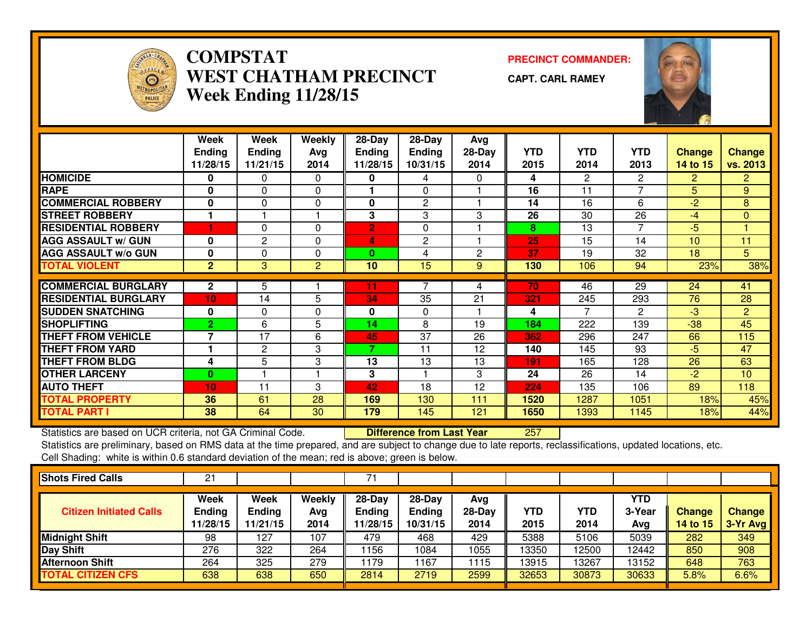

## **COMPSTAT PRECINCT COMMANDER: WEST CHATHAM PRECINCTWeek Ending 11/28/15**

**CAPT. CARL RAMEY**



|                             | Week           | Week           | Weekly   | 28-Day         | 28-Day         | Avg      |            |                |                |                |                |
|-----------------------------|----------------|----------------|----------|----------------|----------------|----------|------------|----------------|----------------|----------------|----------------|
|                             | <b>Ending</b>  | <b>Ending</b>  | Avg      | <b>Ending</b>  | Ending         | $28-Day$ | <b>YTD</b> | <b>YTD</b>     | <b>YTD</b>     | Change         | <b>Change</b>  |
|                             | 11/28/15       | 11/21/15       | 2014     | 11/28/15       | 10/31/15       | 2014     | 2015       | 2014           | 2013           | 14 to 15       | vs. 2013       |
| <b>HOMICIDE</b>             | $\bf{0}$       | $\Omega$       | $\Omega$ | 0              | 4              | 0        | 4          | $\overline{2}$ | $\overline{2}$ | $\overline{2}$ | 2 <sup>1</sup> |
| <b>RAPE</b>                 | $\bf{0}$       | $\Omega$       | $\Omega$ |                | $\mathbf{0}$   |          | 16         | 11             | 7              | 5              | 9              |
| <b>COMMERCIAL ROBBERY</b>   | $\mathbf 0$    | $\Omega$       | $\Omega$ | 0              | 2              |          | 14         | 16             | 6              | $-2$           | 8              |
| <b>STREET ROBBERY</b>       |                |                |          | 3              | 3              | 3        | 26         | 30             | 26             | $-4$           | $\mathbf{0}$   |
| <b>RESIDENTIAL ROBBERY</b>  |                | $\Omega$       | $\Omega$ | $\overline{2}$ | $\Omega$       |          | 8          | 13             | $\overline{7}$ | $-5$           |                |
| <b>AGG ASSAULT W/ GUN</b>   | $\bf{0}$       | $\mathbf{2}$   | $\Omega$ | 4              | 2              |          | 25         | 15             | 14             | 10             | 11             |
| <b>AGG ASSAULT w/o GUN</b>  | 0              | $\mathbf 0$    | $\Omega$ | $\bf{0}$       | 4              | 2        | 37         | 19             | 32             | 18             | 5              |
| <b>TOTAL VIOLENT</b>        | $\overline{2}$ | 3              | 2        | 10             | 15             | 9        | 130        | 106            | 94             | 23%            | 38%            |
|                             |                |                |          |                | $\overline{ }$ |          |            |                |                |                |                |
| <b>COMMERCIAL BURGLARY</b>  | $\mathbf{2}$   | 5              |          | 11             |                | 4        | 70         | 46             | 29             | 24             | 41             |
| <b>RESIDENTIAL BURGLARY</b> | 10             | 14             | 5        | 34             | 35             | 21       | 321        | 245            | 293            | 76             | 28             |
| <b>SUDDEN SNATCHING</b>     | 0              | $\mathbf 0$    | $\Omega$ | 0              | $\mathbf 0$    |          | 4          | 7              | $\mathbf{2}$   | -3             | $\overline{2}$ |
| <b>SHOPLIFTING</b>          | $\overline{2}$ | 6              | 5        | 14             | 8              | 19       | 184        | 222            | 139            | $-38$          | 45             |
| <b>THEFT FROM VEHICLE</b>   | $\overline{7}$ | 17             | 6        | 45             | 37             | 26       | 362        | 296            | 247            | 66             | 115            |
| <b>THEFT FROM YARD</b>      |                | $\overline{2}$ | 3        | 7              | 11             | 12       | 140        | 145            | 93             | $-5$           | 47             |
| <b>THEFT FROM BLDG</b>      | 4              | 5              | 3        | 13             | 13             | 13       | 191        | 165            | 128            | 26             | 63             |
| <b>OTHER LARCENY</b>        | $\bf{0}$       |                |          | 3              |                | 3        | 24         | 26             | 14             | $-2$           | 10             |
| <b>AUTO THEFT</b>           | 10             | 11             | 3        | 42             | 18             | 12       | 224        | 135            | 106            | 89             | 118            |
| <b>TOTAL PROPERTY</b>       | 36             | 61             | 28       | 169            | 130            | 111      | 1520       | 1287           | 1051           | 18%            | 45%            |
| <b>TOTAL PART I</b>         | 38             | 64             | 30       | 179            | 145            | 121      | 1650       | 1393           | 1145           | 18%            | 44%            |

Statistics are based on UCR criteria, not GA Criminal Code. **Difference from Last Year** 

<sup>257</sup>

 Statistics are preliminary, based on RMS data at the time prepared, and are subject to change due to late reports, reclassifications, updated locations, etc.Cell Shading: white is within 0.6 standard deviation of the mean; red is above; green is below.

| <b>Shots Fired Calls</b>       | 21                                |                                   |                       | ⇁                                   |                                       |                         |             |             |                      |                                  |                           |
|--------------------------------|-----------------------------------|-----------------------------------|-----------------------|-------------------------------------|---------------------------------------|-------------------------|-------------|-------------|----------------------|----------------------------------|---------------------------|
| <b>Citizen Initiated Calls</b> | Week<br><b>Ending</b><br>11/28/15 | Week<br><b>Ending</b><br>11/21/15 | Weekly<br>Avg<br>2014 | 28-Day<br><b>Ending</b><br>11/28/15 | $28-Day$<br><b>Ending</b><br>10/31/15 | Avg<br>$28-Day$<br>2014 | YTD<br>2015 | YTD<br>2014 | YTD<br>3-Year<br>Avg | <b>Change</b><br><b>14 to 15</b> | <b>Change</b><br>3-Yr Avg |
| <b>Midnight Shift</b>          | 98                                | 127                               | 107                   | 479                                 | 468                                   | 429                     | 5388        | 5106        | 5039                 | 282                              | 349                       |
| <b>Day Shift</b>               | 276                               | 322                               | 264                   | 1156                                | 1084                                  | 1055                    | 13350       | 12500       | 12442                | 850                              | 908                       |
| <b>Afternoon Shift</b>         | 264                               | 325                               | 279                   | 179                                 | 167                                   | 1115                    | 13915       | 13267       | 13152                | 648                              | 763                       |
| <b>TOTAL CITIZEN CFS</b>       | 638                               | 638                               | 650                   | 2814                                | 2719                                  | 2599                    | 32653       | 30873       | 30633                | 5.8%                             | 6.6%                      |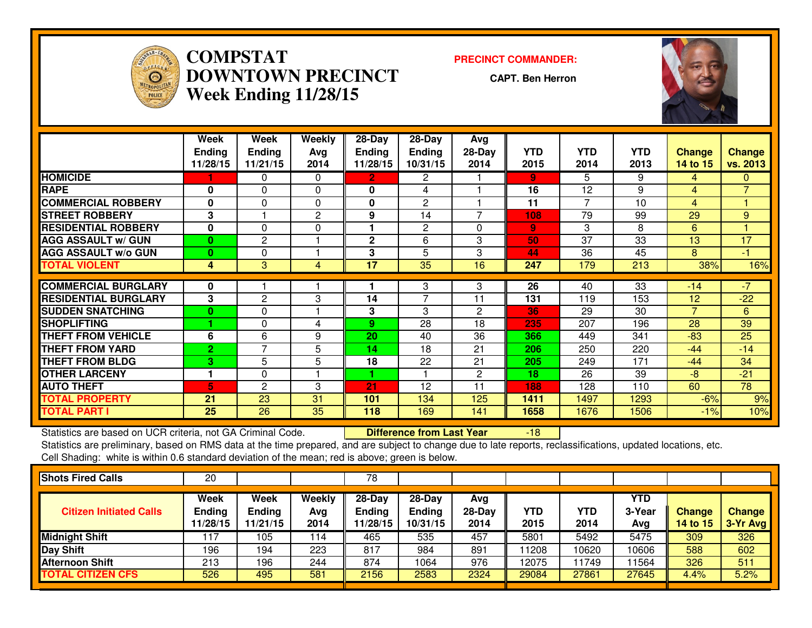

**COMPSTAT PRECINCT COMMANDER: DOWNTOWN PRECINCTWeek Ending 11/28/15**

**CAPT. Ben Herron**



|                             | Week<br><b>Ending</b><br>11/28/15 | Week<br><b>Ending</b><br>11/21/15 | Weekly<br>Avg<br>2014 | 28-Day<br><b>Ending</b><br>11/28/15 | $28$ -Day<br><b>Ending</b><br>10/31/15 | Avg<br>28-Day<br>2014 | <b>YTD</b><br>2015 | <b>YTD</b><br>2014 | <b>YTD</b><br>2013 | <b>Change</b><br>14 to 15 | <b>Change</b><br>vs. 2013 |
|-----------------------------|-----------------------------------|-----------------------------------|-----------------------|-------------------------------------|----------------------------------------|-----------------------|--------------------|--------------------|--------------------|---------------------------|---------------------------|
| <b>HOMICIDE</b>             |                                   | 0                                 | $\Omega$              | $\overline{2}$                      | $\mathbf{2}^{\circ}$                   |                       | $\overline{9}$     | 5.                 | 9                  | 4                         | $\mathbf{0}$              |
| <b>RAPE</b>                 | 0                                 | $\Omega$                          | $\Omega$              | $\bf{0}$                            | 4                                      |                       | 16                 | 12                 | 9                  | 4                         | $\overline{7}$            |
| <b>COMMERCIAL ROBBERY</b>   | $\bf{0}$                          | $\Omega$                          | $\Omega$              | $\bf{0}$                            | 2                                      |                       | 11                 | 7                  | 10                 | 4                         |                           |
| <b>STREET ROBBERY</b>       | 3                                 |                                   | 2                     | 9                                   | 14                                     | $\overline{7}$        | 108                | 79                 | 99                 | 29                        | 9                         |
| <b>RESIDENTIAL ROBBERY</b>  | $\bf{0}$                          | $\Omega$                          | $\Omega$              |                                     | 2                                      | $\Omega$              | $\overline{9}$     | 3                  | 8                  | 6                         |                           |
| <b>AGG ASSAULT w/ GUN</b>   | $\mathbf{0}$                      | $\overline{c}$                    |                       | $\mathbf{2}$                        | 6                                      | 3                     | 50                 | 37                 | 33                 | 13                        | 17                        |
| <b>AGG ASSAULT w/o GUN</b>  | $\bf{0}$                          | 0                                 |                       | 3                                   | 5                                      | 3                     | 44                 | 36                 | 45                 | 8                         | $-1$                      |
| <b>TOTAL VIOLENT</b>        | 4                                 | 3                                 | 4                     | 17                                  | 35                                     | 16                    | 247                | 179                | 213                | 38%                       | 16%                       |
|                             |                                   |                                   |                       |                                     |                                        |                       |                    |                    |                    |                           |                           |
| <b>COMMERCIAL BURGLARY</b>  | 0                                 |                                   |                       |                                     | 3                                      | 3                     | 26                 | 40                 | $\overline{33}$    | $-14$                     | $\sqrt{7}$                |
| <b>RESIDENTIAL BURGLARY</b> | 3                                 | $\mathbf{2}$                      | 3                     | 14                                  | $\overline{7}$                         | 11                    | 131                | 119                | 153                | 12                        | $-22$                     |
| <b>SUDDEN SNATCHING</b>     | $\bf{0}$                          | $\Omega$                          |                       | 3                                   | 3                                      | $\overline{2}$        | 36                 | 29                 | 30                 | $\overline{7}$            | 6                         |
| <b>SHOPLIFTING</b>          |                                   | $\Omega$                          | 4                     | 9                                   | 28                                     | 18                    | 235                | 207                | 196                | 28                        | 39                        |
| <b>THEFT FROM VEHICLE</b>   | 6                                 | 6                                 | 9                     | 20                                  | 40                                     | 36                    | 366                | 449                | 341                | $-83$                     | 25                        |
| <b>THEFT FROM YARD</b>      | $\overline{2}$                    | $\overline{7}$                    | 5                     | 14                                  | 18                                     | 21                    | 206                | 250                | 220                | $-44$                     | $-14$                     |
| <b>THEFT FROM BLDG</b>      | 3                                 | 5                                 | 5                     | 18                                  | 22                                     | 21                    | 205                | 249                | 171                | $-44$                     | 34                        |
| <b>OTHER LARCENY</b>        |                                   | $\Omega$                          |                       |                                     |                                        | $\mathbf{2}$          | 18                 | 26                 | 39                 | $-8$                      | $-21$                     |
| <b>AUTO THEFT</b>           | 5.                                | $\overline{c}$                    | 3                     | 21                                  | 12                                     | 11                    | 188                | 128                | 110                | 60                        | 78                        |
| <b>TOTAL PROPERTY</b>       | 21                                | 23                                | 31                    | 101                                 | 134                                    | 125                   | 1411               | 1497               | 1293               | $-6%$                     | 9%                        |
| <b>TOTAL PART I</b>         | 25                                | 26                                | 35                    | 118                                 | 169                                    | 141                   | 1658               | 1676               | 1506               | $-1%$                     | 10%                       |

Statistics are based on UCR criteria, not GA Criminal Code. **Difference from Last Year** 

Statistics are based on UCR criteria, not GA Criminal Code. **Durich the Litterence from Last Year Figure 18 The**<br>Statistics are preliminary, based on RMS data at the time prepared, and are subject to change due to late rep Cell Shading: white is within 0.6 standard deviation of the mean; red is above; green is below.

| 20                                |                                   |                       | 78                           |                                       |                         |             |             |                      |                           |                             |
|-----------------------------------|-----------------------------------|-----------------------|------------------------------|---------------------------------------|-------------------------|-------------|-------------|----------------------|---------------------------|-----------------------------|
| Week<br><b>Ending</b><br>11/28/15 | Week<br><b>Ending</b><br>11/21/15 | Weekly<br>Avg<br>2014 | 28-Day<br>Ending<br>11/28/15 | $28-Day$<br><b>Ending</b><br>10/31/15 | Avg<br>$28-Day$<br>2014 | YTD<br>2015 | YTD<br>2014 | YTD<br>3-Year<br>Avg | Change<br><b>14 to 15</b> | <b>Change</b><br>$3-Yr$ Avg |
| 17                                | 105                               | 114                   | 465                          | 535                                   | 457                     | 5801        | 5492        | 5475                 | 309                       | 326                         |
| 196                               | 194                               | 223                   | 817                          | 984                                   | 891                     | 11208       | 0620        | 10606                | 588                       | 602                         |
| 213                               | 196                               | 244                   | 874                          | 1064                                  | 976                     | 12075       | 1749        | 11564                | 326                       | 511                         |
| 526                               | 495                               | 581                   | 2156                         | 2583                                  | 2324                    | 29084       | 27861       | 27645                | 4.4%                      | 5.2%                        |
|                                   |                                   |                       |                              |                                       |                         |             |             |                      |                           |                             |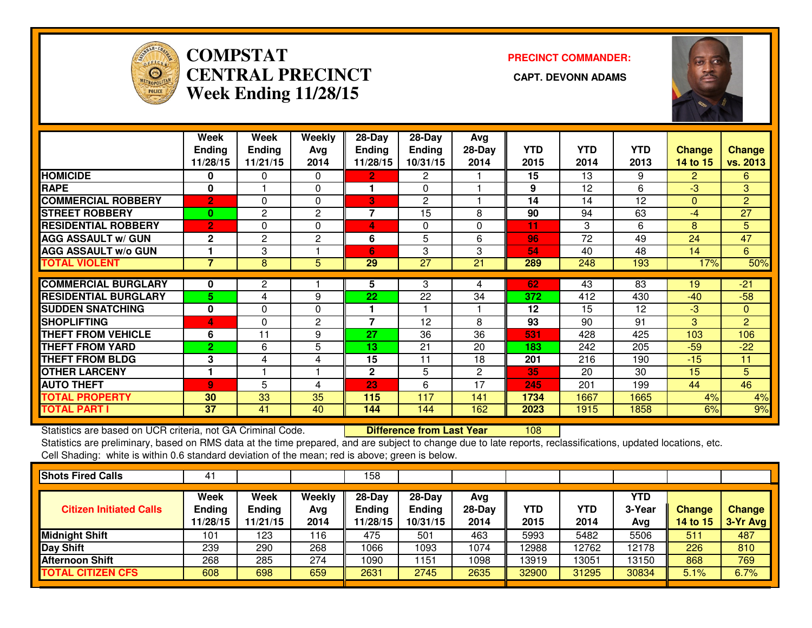

## **COMPSTAT PRECINCT COMMANDER: CENTRAL PRECINCT CAPT. DEVONN ADAMSWeek Ending 11/28/15**



|                             | Week                      | Week                      | Weekly         | 28-Day                    | 28-Day             | Avg              |                    |                    |                    |                    |                           |
|-----------------------------|---------------------------|---------------------------|----------------|---------------------------|--------------------|------------------|--------------------|--------------------|--------------------|--------------------|---------------------------|
|                             | <b>Ending</b><br>11/28/15 | <b>Ending</b><br>11/21/15 | Avg<br>2014    | <b>Ending</b><br>11/28/15 | Ending<br>10/31/15 | $28-Day$<br>2014 | <b>YTD</b><br>2015 | <b>YTD</b><br>2014 | <b>YTD</b><br>2013 | Change<br>14 to 15 | <b>Change</b><br>vs. 2013 |
|                             |                           |                           |                |                           |                    |                  |                    |                    |                    |                    |                           |
| <b>HOMICIDE</b>             | 0                         | 0                         | $\Omega$       | 2                         | 2                  |                  | 15                 | 13                 | 9                  | 2.                 | 6                         |
| <b>RAPE</b>                 | 0                         |                           | 0              |                           | $\Omega$           |                  | 9                  | 12                 | 6                  | -3                 | 3                         |
| <b>COMMERCIAL ROBBERY</b>   | $\overline{2}$            | $\Omega$                  | $\Omega$       | 3                         | 2                  |                  | 14                 | 14                 | 12                 | $\Omega$           | 2                         |
| <b>STREET ROBBERY</b>       | $\bf{0}$                  | $\mathbf{2}$              | $\mathbf{2}$   | $\overline{7}$            | 15                 | 8                | 90                 | 94                 | 63                 | -4                 | 27                        |
| <b>RESIDENTIAL ROBBERY</b>  | $\overline{2}$            | $\Omega$                  | $\Omega$       | 4                         | 0                  | 0                | 11                 | 3                  | 6                  | 8                  | 5                         |
| <b>AGG ASSAULT w/ GUN</b>   | $\mathbf{2}$              | $\overline{c}$            | $\overline{c}$ | 6                         | 5                  | 6                | 96                 | 72                 | 49                 | 24                 | 47                        |
| <b>AGG ASSAULT w/o GUN</b>  |                           | 3                         |                | 6                         | 3                  | 3                | 54                 | 40                 | 48                 | 14                 | 6                         |
| <b>TOTAL VIOLENT</b>        | $\overline{7}$            | 8                         | 5              | 29                        | 27                 | 21               | 289                | 248                | 193                | 17%                | 50%                       |
|                             |                           |                           |                |                           |                    |                  |                    |                    |                    |                    |                           |
| <b>COMMERCIAL BURGLARY</b>  | 0                         | 2                         |                | 5                         | 3                  | 4                | 62                 | 43                 | 83                 | 19                 | $-21$                     |
| <b>RESIDENTIAL BURGLARY</b> | 5                         | 4                         | 9              | 22                        | 22                 | 34               | 372                | 412                | 430                | $-40$              | $-58$                     |
| <b>SUDDEN SNATCHING</b>     | 0                         | 0                         | 0              |                           |                    |                  | 12                 | 15                 | 12                 | $-3$               | $\mathbf{0}$              |
| <b>SHOPLIFTING</b>          | 4                         | $\Omega$                  | 2              | $\overline{7}$            | 12                 | 8                | 93                 | 90                 | 91                 | 3                  | 2                         |
| <b>THEFT FROM VEHICLE</b>   | 6                         | 11                        | 9              | 27                        | 36                 | 36               | 531                | 428                | 425                | 103                | 106                       |
| <b>THEFT FROM YARD</b>      | $\overline{2}$            | 6                         | 5              | 13                        | 21                 | 20               | 183                | 242                | 205                | $-59$              | $-22$                     |
| <b>THEFT FROM BLDG</b>      | 3                         | 4                         | 4              | 15                        | 11                 | 18               | 201                | 216                | 190                | $-15$              | 11                        |
| <b>OTHER LARCENY</b>        |                           |                           |                | $\overline{2}$            | 5                  | $\overline{2}$   | 35                 | 20                 | 30                 | 15                 | 5                         |
| <b>AUTO THEFT</b>           | $\overline{9}$            | 5                         | 4              | 23                        | 6                  | 17               | 245                | 201                | 199                | 44                 | 46                        |
| <b>TOTAL PROPERTY</b>       | 30                        | 33                        | 35             | 115                       | 117                | 141              | 1734               | 1667               | 1665               | 4%                 | 4%                        |
| <b>TOTAL PART I</b>         | 37                        | 41                        | 40             | 144                       | 144                | 162              | 2023               | 1915               | 1858               | 6%                 | 9%                        |

Statistics are based on UCR criteria, not GA Criminal Code. **Difference from Last Year** 

Statistics are based on UCR criteria, not GA Criminal Code. **Durich Lup Putference from Last Year** [108] [108] [<br>Statistics are preliminary, based on RMS data at the time prepared, and are subject to change due to late rep Cell Shading: white is within 0.6 standard deviation of the mean; red is above; green is below.

| 41                                |                                   |                       | 158                                   |                                       |                         |                    |             |                      |                           |                           |
|-----------------------------------|-----------------------------------|-----------------------|---------------------------------------|---------------------------------------|-------------------------|--------------------|-------------|----------------------|---------------------------|---------------------------|
| Week<br><b>Ending</b><br>11/28/15 | Week<br><b>Ending</b><br>11/21/15 | Weekly<br>Avg<br>2014 | $28-Dav$<br><b>Ending</b><br>11/28/15 | $28-Dav$<br><b>Ending</b><br>10/31/15 | Avg<br>$28-Day$<br>2014 | <b>YTD</b><br>2015 | YTD<br>2014 | YTD<br>3-Year<br>Avg | Change<br><b>14 to 15</b> | <b>Change</b><br>3-Yr Avg |
| 101                               | 123                               | 116                   | 475                                   | 501                                   | 463                     | 5993               | 5482        | 5506                 | 511                       | 487                       |
| 239                               | 290                               | 268                   | 1066                                  | 1093                                  | 1074                    | 12988              | 12762       | 12178                | 226                       | 810                       |
| 268                               | 285                               | 274                   | 1090                                  | 1151                                  | 1098                    | 13919              | 13051       | 13150                | 868                       | 769                       |
| 608                               | 698                               | 659                   | 2631                                  | 2745                                  | 2635                    | 32900              | 31295       | 30834                | 5.1%                      | 6.7%                      |
|                                   |                                   |                       |                                       |                                       |                         |                    |             |                      |                           |                           |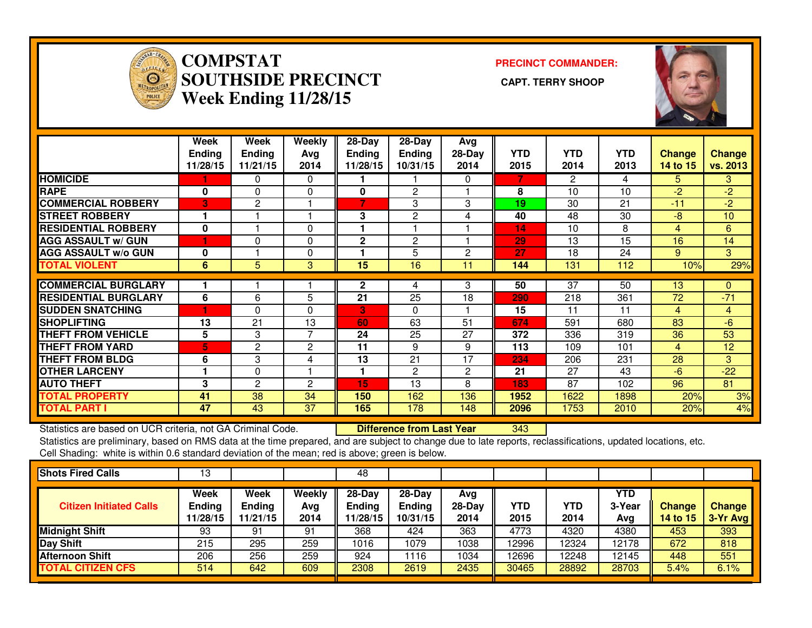

### **COMPSTAT**<br> **SOUTHSIDE**<br> **Week Ending PRECINCT COMMANDER: SOUTHSIDE PRECINCT CAPT. TERRY SHOOPWeek Ending 11/28/15**



|                             | Week<br><b>Ending</b><br>11/28/15 | Week<br><b>Ending</b><br>11/21/15 | Weekly<br>Avg<br>2014 | $28$ -Day<br>Ending<br>11/28/15 | $28-Day$<br><b>Ending</b><br>10/31/15 | Avg<br>$28-Day$<br>2014 | <b>YTD</b><br>2015 | <b>YTD</b><br>2014 | <b>YTD</b><br>2013 | <b>Change</b><br>14 to 15 | <b>Change</b><br>vs. 2013 |
|-----------------------------|-----------------------------------|-----------------------------------|-----------------------|---------------------------------|---------------------------------------|-------------------------|--------------------|--------------------|--------------------|---------------------------|---------------------------|
| <b>HOMICIDE</b>             |                                   | 0                                 | 0                     |                                 |                                       | 0                       | 7                  | 2                  | 4                  | 5.                        | 3                         |
| <b>RAPE</b>                 | 0                                 | $\Omega$                          | 0                     | 0                               | 2                                     |                         | 8                  | 10                 | 10                 | $-2$                      | $-2$                      |
| <b>COMMERCIAL ROBBERY</b>   | 3                                 | $\overline{c}$                    |                       | 7                               | 3                                     | 3                       | 19                 | 30                 | 21                 | $-11$                     | $-2$                      |
| <b>STREET ROBBERY</b>       |                                   |                                   |                       | 3                               | 2                                     | 4                       | 40                 | 48                 | 30                 | $-8$                      | 10                        |
| <b>RESIDENTIAL ROBBERY</b>  | 0                                 |                                   | $\Omega$              |                                 |                                       |                         | 14                 | 10                 | 8                  | 4                         | 6                         |
| <b>AGG ASSAULT w/ GUN</b>   | 1                                 | 0                                 | 0                     | $\overline{2}$                  | 2                                     |                         | 29                 | 13                 | 15                 | 16                        | 14                        |
| <b>AGG ASSAULT w/o GUN</b>  | 0                                 |                                   | 0                     |                                 | 5                                     | 2                       | 27                 | 18                 | 24                 | 9                         | 3                         |
| <b>TOTAL VIOLENT</b>        | 6                                 | 5                                 | 3                     | 15                              | 16                                    | 11                      | 144                | 131                | 112                | 10%                       | 29%                       |
|                             |                                   |                                   |                       |                                 |                                       |                         |                    |                    |                    |                           |                           |
| <b>COMMERCIAL BURGLARY</b>  |                                   |                                   |                       | $\mathbf{2}$                    | 4                                     | 3                       | 50                 | 37                 | 50                 | 13                        | $\Omega$                  |
| <b>RESIDENTIAL BURGLARY</b> | 6                                 | 6                                 | 5                     | 21                              | 25                                    | 18                      | 290                | 218                | 361                | 72                        | $-71$                     |
| <b>SUDDEN SNATCHING</b>     | 1                                 | 0                                 | $\Omega$              | 3                               | $\Omega$                              |                         | 15                 | 11                 | 11                 | 4                         | $\overline{4}$            |
| <b>SHOPLIFTING</b>          | 13                                | 21                                | 13                    | 60                              | 63                                    | 51                      | 674                | 591                | 680                | 83                        | $-6$                      |
| <b>THEFT FROM VEHICLE</b>   | 5                                 | 3                                 | 7                     | 24                              | 25                                    | 27                      | 372                | 336                | 319                | 36                        | 53                        |
| <b>THEFT FROM YARD</b>      | 5                                 | $\overline{c}$                    | $\overline{c}$        | 11                              | 9                                     | 9                       | 113                | 109                | 101                | 4                         | 12                        |
| <b>THEFT FROM BLDG</b>      | 6                                 | 3                                 | 4                     | 13                              | 21                                    | 17                      | 234                | 206                | 231                | 28                        | 3                         |
| <b>OTHER LARCENY</b>        |                                   | 0                                 |                       |                                 | 2                                     | 2                       | 21                 | 27                 | 43                 | $-6$                      | $-22$                     |
| <b>AUTO THEFT</b>           | 3                                 | $\overline{2}$                    | 2                     | 15                              | 13                                    | 8                       | 183                | 87                 | 102                | 96                        | 81                        |
| <b>TOTAL PROPERTY</b>       | 41                                | 38                                | 34                    | 150                             | 162                                   | 136                     | 1952               | 1622               | 1898               | 20%                       | 3%                        |
| <b>TOTAL PART I</b>         | 47                                | 43                                | 37                    | 165                             | 178                                   | 148                     | 2096               | 1753               | 2010               | 20%                       | 4%                        |

Statistics are based on UCR criteria, not GA Criminal Code. **Difference from Last Year** 

<sup>343</sup>

 Statistics are preliminary, based on RMS data at the time prepared, and are subject to change due to late reports, reclassifications, updated locations, etc.Cell Shading: white is within 0.6 standard deviation of the mean; red is above; green is below.

| 13                                |                                          |                       | 48                                    |                                       |                         |             |             |                      |                    |                           |
|-----------------------------------|------------------------------------------|-----------------------|---------------------------------------|---------------------------------------|-------------------------|-------------|-------------|----------------------|--------------------|---------------------------|
| Week<br><b>Ending</b><br>11/28/15 | <b>Week</b><br><b>Ending</b><br>11/21/15 | Weekly<br>Avg<br>2014 | $28-Day$<br><b>Ending</b><br>11/28/15 | $28-Day$<br><b>Ending</b><br>10/31/15 | Avg<br>$28-Day$<br>2014 | YTD<br>2015 | YTD<br>2014 | YTD<br>3-Year<br>Avg | Change<br>14 to 15 | <b>Change</b><br>3-Yr Avg |
| 93                                | 91                                       | 91                    | 368                                   | 424                                   | 363                     | 4773        | 4320        | 4380                 | 453                | 393                       |
| 215                               | 295                                      | 259                   | 1016                                  | 1079                                  | 1038                    | 12996       | 12324       | 12178                | 672                | 818                       |
| 206                               | 256                                      | 259                   | 924                                   | 116                                   | 1034                    | 12696       | 12248       | 12145                | 448                | 551                       |
| 514                               | 642                                      | 609                   | 2308                                  | 2619                                  | 2435                    | 30465       | 28892       | 28703                | 5.4%               | 6.1%                      |
|                                   |                                          |                       |                                       |                                       |                         |             |             |                      |                    |                           |